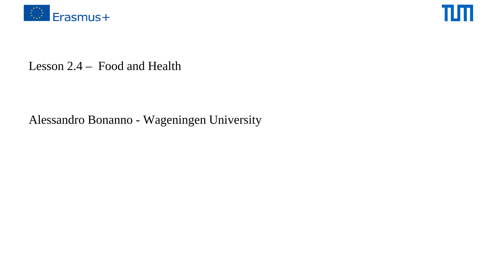



### Lesson 2.4 – Food and Health

### Alessandro Bonanno - Wageningen University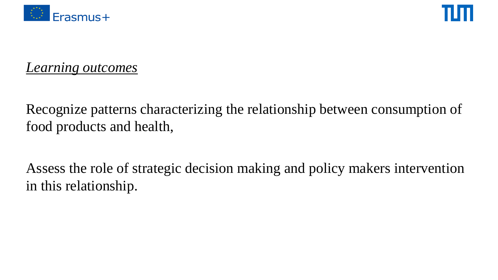



*Learning outcomes*

Recognize patterns characterizing the relationship between consumption of food products and health,

Assess the role of strategic decision making and policy makers intervention in this relationship.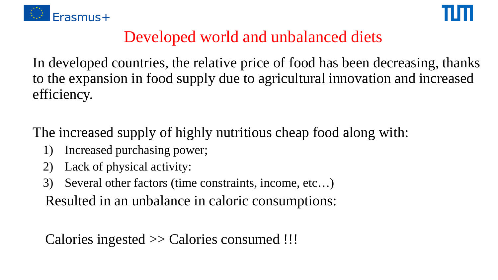



# Developed world and unbalanced diets

In developed countries, the relative price of food has been decreasing, thanks to the expansion in food supply due to agricultural innovation and increased efficiency.

The increased supply of highly nutritious cheap food along with:

- 1) Increased purchasing power;
- 2) Lack of physical activity:
- 3) Several other factors (time constraints, income, etc…)

Resulted in an unbalance in caloric consumptions:

Calories ingested >> Calories consumed !!!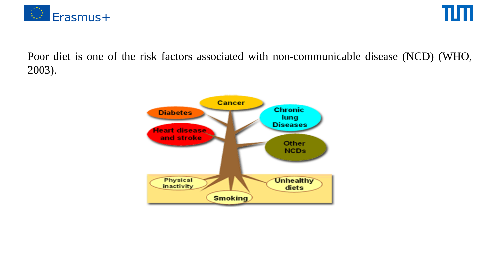

TIM.

Poor diet is one of the risk factors associated with non-communicable disease (NCD) (WHO, 2003).

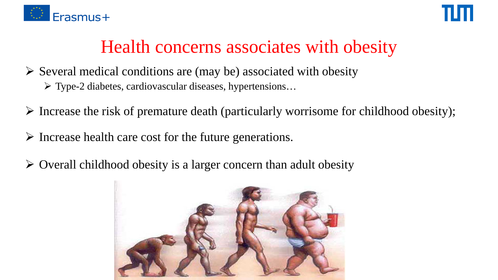



# Health concerns associates with obesity

- $\triangleright$  Several medical conditions are (may be) associated with obesity Type-2 diabetes, cardiovascular diseases, hypertensions…
- $\triangleright$  Increase the risk of premature death (particularly worrisome for childhood obesity);
- $\triangleright$  Increase health care cost for the future generations.
- $\triangleright$  Overall childhood obesity is a larger concern than adult obesity

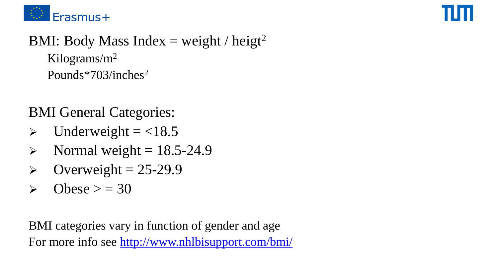



## BMI: Body Mass Index = weight / heigt<sup>2</sup> Kilograms/m2 Pounds\*703/inches2

### BMI General Categories:

- $\blacktriangleright$  Underweight = <18.5
- $\triangleright$  Normal weight = 18.5-24.9
- $\triangleright$  Overweight = 25-29.9
- $\triangleright$  Obese  $\triangleright$  = 30

BMI categories vary in function of gender and age For more info see<http://www.nhlbisupport.com/bmi/>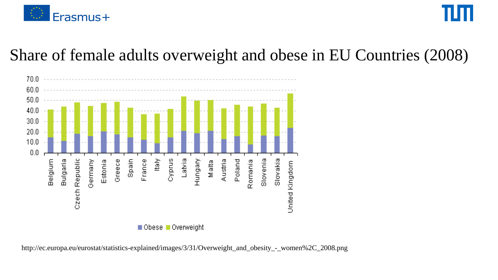

# Share of female adults overweight and obese in EU Countries (2008)



http://ec.europa.eu/eurostat/statistics-explained/images/3/31/Overweight\_and\_obesity\_-\_women%2C\_2008.png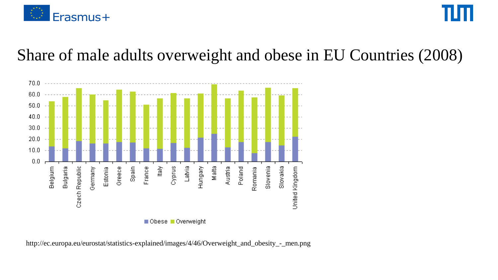

# Share of male adults overweight and obese in EU Countries (2008)



http://ec.europa.eu/eurostat/statistics-explained/images/4/46/Overweight\_and\_obesity\_-\_men.png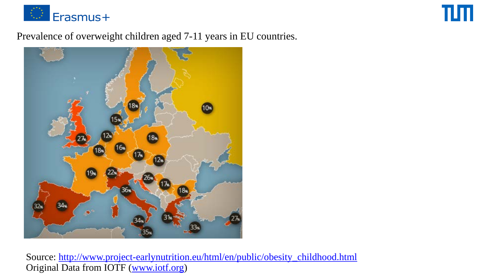

### Prevalence of overweight children aged 7-11 years in EU countries.

TΨ



Source: [http://www.project-earlynutrition.eu/html/en/public/obesity\\_childhood.html](http://www.project-earlynutrition.eu/html/en/public/obesity_childhood.html) Original Data from IOTF ([www.iotf.org\)](http://www.iotf.org/)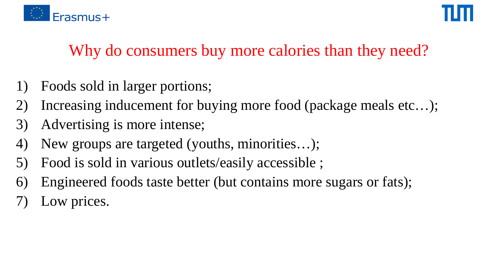

# Why do consumers buy more calories than they need?

- Foods sold in larger portions;
- 2) Increasing inducement for buying more food (package meals etc…);
- 3) Advertising is more intense;
- 4) New groups are targeted (youths, minorities…);
- 5) Food is sold in various outlets/easily accessible ;
- 6) Engineered foods taste better (but contains more sugars or fats);
- Low prices.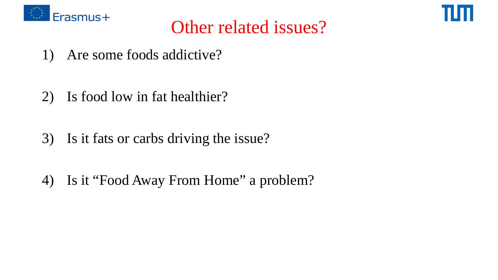



# Other related issues?

- 1) Are some foods addictive?
- 2) Is food low in fat healthier?
- 3) Is it fats or carbs driving the issue?
- 4) Is it "Food Away From Home" a problem?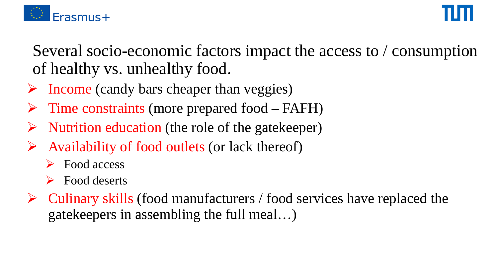

Several socio-economic factors impact the access to / consumption of healthy vs. unhealthy food.

- $\triangleright$  Income (candy bars cheaper than veggies)
- $\triangleright$  Time constraints (more prepared food FAFH)
- Nutrition education (the role of the gatekeeper)
- Availability of food outlets (or lack thereof)
	- Food access
	- $\triangleright$  Food deserts
- $\triangleright$  Culinary skills (food manufacturers / food services have replaced the gatekeepers in assembling the full meal…)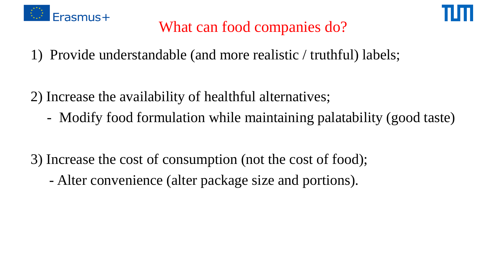



# What can food companies do?

- 1) Provide understandable (and more realistic / truthful) labels;
- 2) Increase the availability of healthful alternatives;
	- Modify food formulation while maintaining palatability (good taste)
- 3) Increase the cost of consumption (not the cost of food);
	- Alter convenience (alter package size and portions).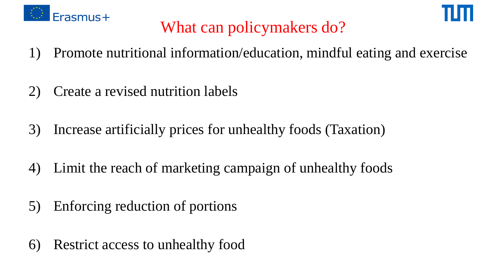



# What can policymakers do?

- 1) Promote nutritional information/education, mindful eating and exercise
- 2) Create a revised nutrition labels
- 3) Increase artificially prices for unhealthy foods (Taxation)
- 4) Limit the reach of marketing campaign of unhealthy foods
- 5) Enforcing reduction of portions
- 6) Restrict access to unhealthy food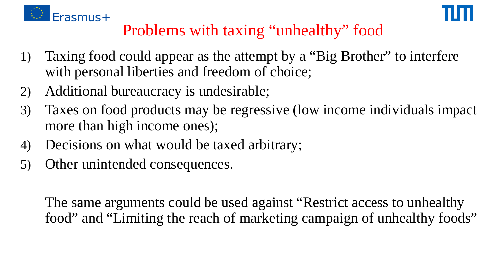



# Problems with taxing "unhealthy" food

- 1) Taxing food could appear as the attempt by a "Big Brother" to interfere with personal liberties and freedom of choice;
- 2) Additional bureaucracy is undesirable;
- 3) Taxes on food products may be regressive (low income individuals impact more than high income ones);
- 4) Decisions on what would be taxed arbitrary;
- 5) Other unintended consequences.

The same arguments could be used against "Restrict access to unhealthy food" and "Limiting the reach of marketing campaign of unhealthy foods"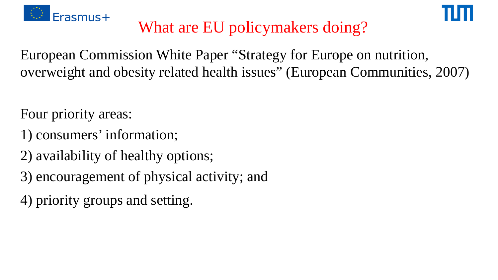



# What are EU policymakers doing?

European Commission White Paper "Strategy for Europe on nutrition, overweight and obesity related health issues" (European Communities, 2007)

Four priority areas:

- 1) consumers' information;
- 2) availability of healthy options;
- 3) encouragement of physical activity; and
- 4) priority groups and setting.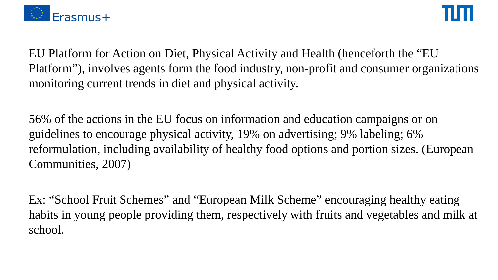

EU Platform for Action on Diet, Physical Activity and Health (henceforth the "EU Platform"), involves agents form the food industry, non-profit and consumer organizations monitoring current trends in diet and physical activity.

56% of the actions in the EU focus on information and education campaigns or on guidelines to encourage physical activity, 19% on advertising; 9% labeling; 6% reformulation, including availability of healthy food options and portion sizes. (European Communities, 2007)

Ex: "School Fruit Schemes" and "European Milk Scheme" encouraging healthy eating habits in young people providing them, respectively with fruits and vegetables and milk at school.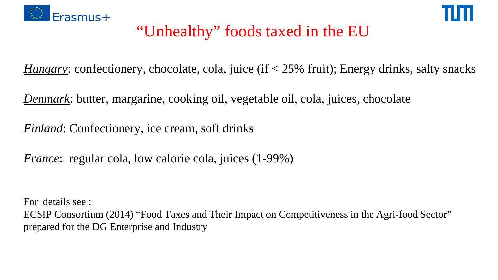



# "Unhealthy" foods taxed in the EU

*Hungary*: confectionery, chocolate, cola, juice (if < 25% fruit); Energy drinks, salty snacks

*Denmark*: butter, margarine, cooking oil, vegetable oil, cola, juices, chocolate

*Finland*: Confectionery, ice cream, soft drinks

*France*: regular cola, low calorie cola, juices (1-99%)

For details see :

ECSIP Consortium (2014) "Food Taxes and Their Impact on Competitiveness in the Agri-food Sector" prepared for the DG Enterprise and Industry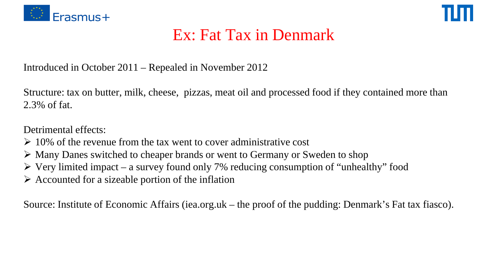



# Ex: Fat Tax in Denmark

Introduced in October 2011 – Repealed in November 2012

Structure: tax on butter, milk, cheese, pizzas, meat oil and processed food if they contained more than 2.3% of fat.

Detrimental effects:

- $\geq 10\%$  of the revenue from the tax went to cover administrative cost
- Many Danes switched to cheaper brands or went to Germany or Sweden to shop
- $\triangleright$  Very limited impact a survey found only 7% reducing consumption of "unhealthy" food
- $\triangleright$  Accounted for a sizeable portion of the inflation

Source: Institute of Economic Affairs (iea.org.uk – the proof of the pudding: Denmark's Fat tax fiasco).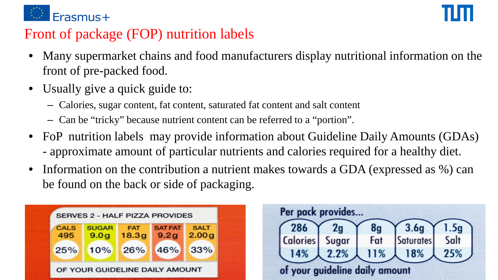

### Front of package (FOP) nutrition labels

- Many supermarket chains and food manufacturers display nutritional information on the front of pre-packed food.
- Usually give a quick guide to:
	- Calories, sugar content, fat content, saturated fat content and salt content
	- Can be "tricky" because nutrient content can be referred to a "portion".
- FoP nutrition labels may provide information about Guideline Daily Amounts (GDAs) - approximate amount of particular nutrients and calories required for a healthy diet.
- Information on the contribution a nutrient makes towards a GDA (expressed as %) can be found on the back or side of packaging.

|                    | <b>SERVES 2 - HALF PIZZA PROVIDES</b> |                     |                        |                      | Per pack provides |               |           |                  |
|--------------------|---------------------------------------|---------------------|------------------------|----------------------|-------------------|---------------|-----------|------------------|
| <b>CALS</b><br>495 | <b>SUGAR</b><br>9.0g                  | <b>FAT</b><br>18.3g | <b>SAT FAT</b><br>9.2g | <b>SALT</b><br>2.00g | 286               |               | 8g<br>Fat | 3.6 <sub>q</sub> |
| 25%                | 10%                                   | 26%                 | 46%                    | 33%                  | Calories'         | Sugar<br>2.2% | 11%       | Saturates<br>8%  |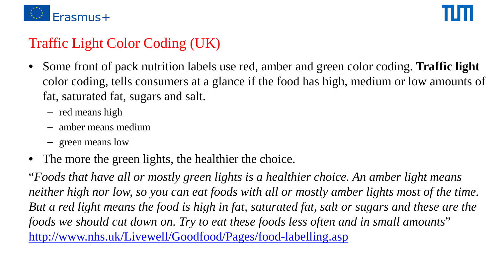

# Traffic Light Color Coding (UK)

- Some front of pack nutrition labels use red, amber and green color coding. **Traffic light**  color coding, tells consumers at a glance if the food has high, medium or low amounts of fat, saturated fat, sugars and salt.
	- red means high
	- amber means medium
	- green means low
- The more the green lights, the healthier the choice.

"*Foods that have all or mostly green lights is a healthier choice. An amber light means neither high nor low, so you can eat foods with all or mostly amber lights most of the time. But a red light means the food is high in fat, saturated fat, salt or sugars and these are the foods we should cut down on. Try to eat these foods less often and in small amounts*" <http://www.nhs.uk/Livewell/Goodfood/Pages/food-labelling.asp>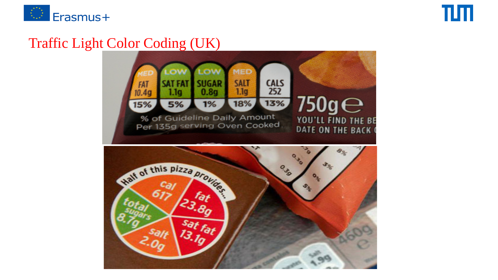

### Traffic Light Color Coding (UK)

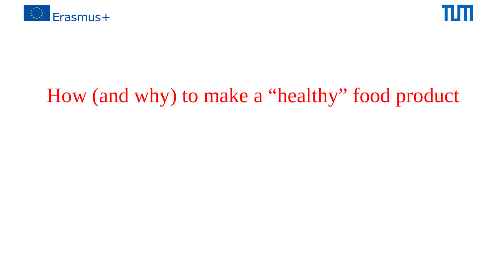



# How (and why) to make a "healthy" food product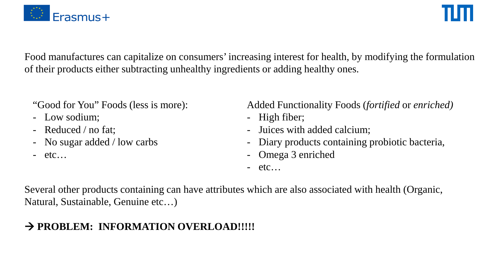

Food manufactures can capitalize on consumers' increasing interest for health, by modifying the formulation of their products either subtracting unhealthy ingredients or adding healthy ones.

"Good for You" Foods (less is more):

- Low sodium;
- Reduced / no fat;
- No sugar added / low carbs
- $-$  etc…

Added Functionality Foods (*fortified* or *enriched)*

- High fiber;
- Juices with added calcium;
- Diary products containing probiotic bacteria,
- Omega 3 enriched
- $-$  etc…

Several other products containing can have attributes which are also associated with health (Organic, Natural, Sustainable, Genuine etc…)

### **→ PROBLEM: INFORMATION OVERLOAD!!!!!**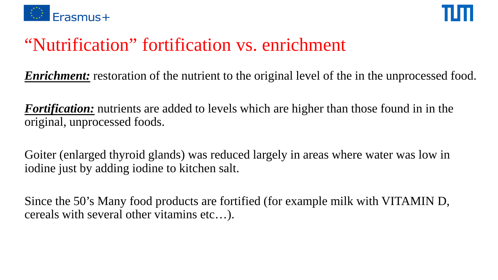



# "Nutrification" fortification vs. enrichment

*Enrichment:* restoration of the nutrient to the original level of the in the unprocessed food.

*Fortification:* nutrients are added to levels which are higher than those found in in the original, unprocessed foods.

Goiter (enlarged thyroid glands) was reduced largely in areas where water was low in iodine just by adding iodine to kitchen salt.

Since the 50's Many food products are fortified (for example milk with VITAMIN D, cereals with several other vitamins etc…).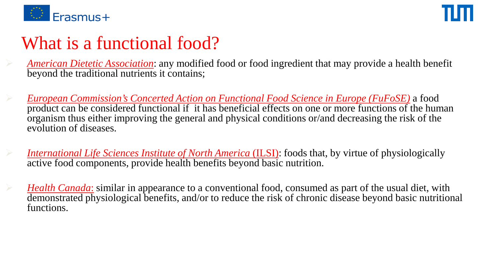

# What is a functional food?

 *American Dietetic Association*: any modified food or food ingredient that may provide a health benefit beyond the traditional nutrients it contains;

 *European Commission's Concerted Action on Functional Food Science in Europe (FuFoSE)* a food product can be considered functional if it has beneficial effects on one or more functions of the human organism thus either improving the general and physical conditions or/and decreasing the risk of the evolution of diseases.

 *International Life Sciences Institute of North America* (ILSI): foods that, by virtue of physiologically active food components, provide health benefits beyond basic nutrition.

 *Health Canada*: similar in appearance to a conventional food, consumed as part of the usual diet, with demonstrated physiological benefits, and/or to reduce the risk of chronic disease beyond basic nutritional functions.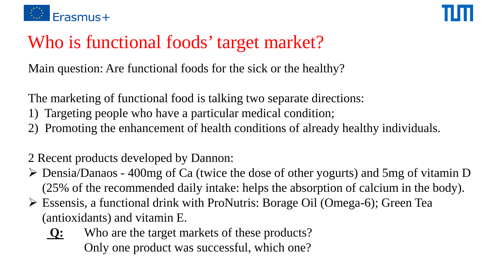

# Who is functional foods' target market?

Main question: Are functional foods for the sick or the healthy?

The marketing of functional food is talking two separate directions:

- 1) Targeting people who have a particular medical condition;
- 2) Promoting the enhancement of health conditions of already healthy individuals.

2 Recent products developed by Dannon:

- Densia/Danaos 400mg of Ca (twice the dose of other yogurts) and 5mg of vitamin D (25% of the recommended daily intake: helps the absorption of calcium in the body).
- Essensis, a functional drink with ProNutris: Borage Oil (Omega-6); Green Tea (antioxidants) and vitamin E.
	- **Q:** Who are the target markets of these products? Only one product was successful, which one?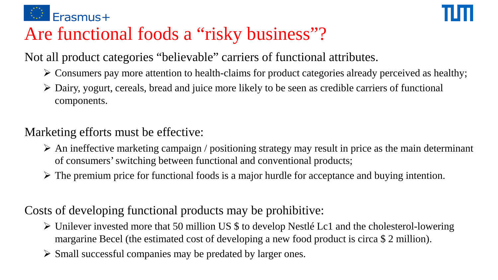

# Are functional foods a "risky business"?

Not all product categories "believable" carriers of functional attributes.

- $\triangleright$  Consumers pay more attention to health-claims for product categories already perceived as healthy;
- $\triangleright$  Dairy, yogurt, cereals, bread and juice more likely to be seen as credible carriers of functional components.

### Marketing efforts must be effective:

- $\triangleright$  An ineffective marketing campaign / positioning strategy may result in price as the main determinant of consumers' switching between functional and conventional products;
- $\triangleright$  The premium price for functional foods is a major hurdle for acceptance and buying intention.

### Costs of developing functional products may be prohibitive:

- $\triangleright$  Unilever invested more that 50 million US \$ to develop Nestlé Lc1 and the cholesterol-lowering margarine Becel (the estimated cost of developing a new food product is circa \$ 2 million).
- $\triangleright$  Small successful companies may be predated by larger ones.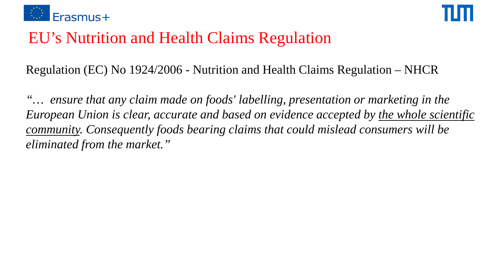



# EU's Nutrition and Health Claims Regulation

Regulation (EC) No 1924/2006 - Nutrition and Health Claims Regulation – NHCR

*"… ensure that any claim made on foods' labelling, presentation or marketing in the European Union is clear, accurate and based on evidence accepted by the whole scientific community. Consequently foods bearing claims that could mislead consumers will be eliminated from the market."*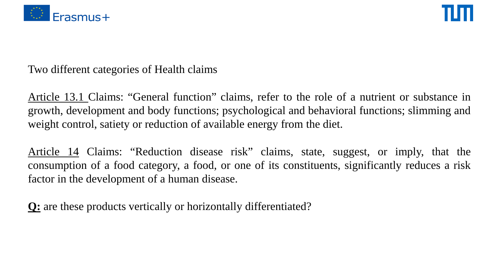



Two different categories of Health claims

Article 13.1 Claims: "General function" claims, refer to the role of a nutrient or substance in growth, development and body functions; psychological and behavioral functions; slimming and weight control, satiety or reduction of available energy from the diet.

Article 14 Claims: "Reduction disease risk" claims, state, suggest, or imply, that the consumption of a food category, a food, or one of its constituents, significantly reduces a risk factor in the development of a human disease.

**Q:** are these products vertically or horizontally differentiated?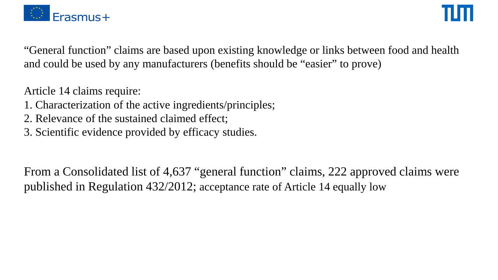

"General function" claims are based upon existing knowledge or links between food and health and could be used by any manufacturers (benefits should be "easier" to prove)

Article 14 claims require:

- 1. Characterization of the active ingredients/principles;
- 2. Relevance of the sustained claimed effect;
- 3. Scientific evidence provided by efficacy studies.

From a Consolidated list of 4,637 "general function" claims, 222 approved claims were published in Regulation 432/2012; acceptance rate of Article 14 equally low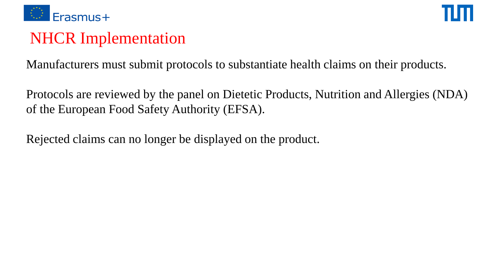

# NHCR Implementation

Manufacturers must submit protocols to substantiate health claims on their products.

Protocols are reviewed by the panel on Dietetic Products, Nutrition and Allergies (NDA) of the European Food Safety Authority (EFSA).

Rejected claims can no longer be displayed on the product.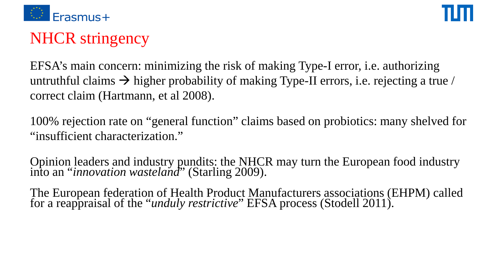

# NHCR stringency

EFSA's main concern: minimizing the risk of making Type-I error, i.e. authorizing untruthful claims  $\rightarrow$  higher probability of making Type-II errors, i.e. rejecting a true / correct claim (Hartmann, et al 2008).

100% rejection rate on "general function" claims based on probiotics: many shelved for "insufficient characterization."

Opinion leaders and industry pundits: the NHCR may turn the European food industry into an "*innovation wasteland*" (Starling 2009).

The European federation of Health Product Manufacturers associations (EHPM) called for a reappraisal of the "*unduly restrictive*" EFSA process (Stodell 2011).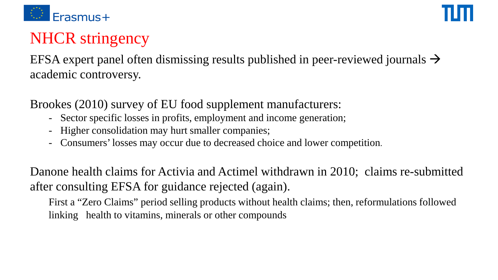

# NHCR stringency

EFSA expert panel often dismissing results published in peer-reviewed journals  $\rightarrow$ academic controversy.

Brookes (2010) survey of EU food supplement manufacturers:

- Sector specific losses in profits, employment and income generation;
- Higher consolidation may hurt smaller companies;
- Consumers' losses may occur due to decreased choice and lower competition.

Danone health claims for Activia and Actimel withdrawn in 2010; claims re-submitted after consulting EFSA for guidance rejected (again).

First a "Zero Claims" period selling products without health claims; then, reformulations followed linking health to vitamins, minerals or other compounds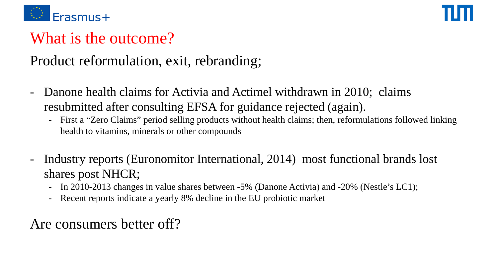

# What is the outcome?

### Product reformulation, exit, rebranding;

- Danone health claims for Activia and Actimel withdrawn in 2010; claims resubmitted after consulting EFSA for guidance rejected (again).
	- First a "Zero Claims" period selling products without health claims; then, reformulations followed linking health to vitamins, minerals or other compounds
- Industry reports (Euronomitor International, 2014) most functional brands lost shares post NHCR;
	- In 2010-2013 changes in value shares between -5% (Danone Activia) and -20% (Nestle's LC1);
	- Recent reports indicate a yearly 8% decline in the EU probiotic market

### Are consumers better off?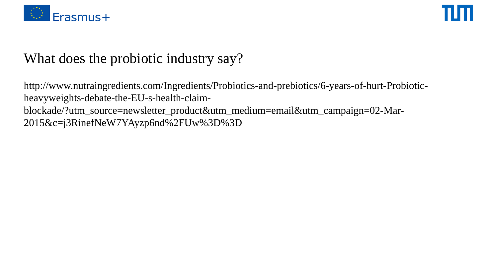

### What does the probiotic industry say?

http://www.nutraingredients.com/Ingredients/Probiotics-and-prebiotics/6-years-of-hurt-Probioticheavyweights-debate-the-EU-s-health-claimblockade/?utm\_source=newsletter\_product&utm\_medium=email&utm\_campaign=02-Mar-2015&c=j3RinefNeW7YAyzp6nd%2FUw%3D%3D